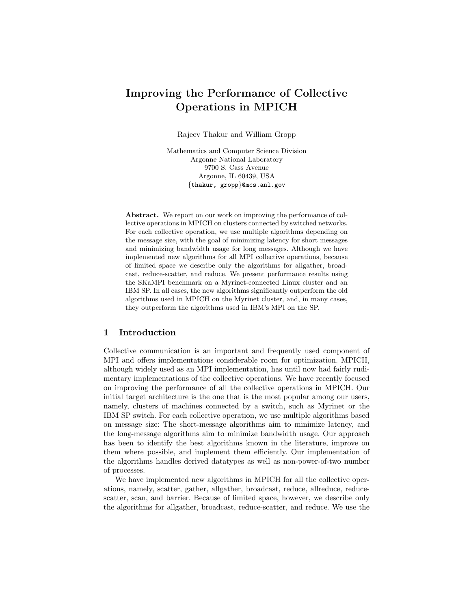# Improving the Performance of Collective Operations in MPICH

Rajeev Thakur and William Gropp

Mathematics and Computer Science Division Argonne National Laboratory 9700 S. Cass Avenue Argonne, IL 60439, USA {thakur, gropp}@mcs.anl.gov

Abstract. We report on our work on improving the performance of collective operations in MPICH on clusters connected by switched networks. For each collective operation, we use multiple algorithms depending on the message size, with the goal of minimizing latency for short messages and minimizing bandwidth usage for long messages. Although we have implemented new algorithms for all MPI collective operations, because of limited space we describe only the algorithms for allgather, broadcast, reduce-scatter, and reduce. We present performance results using the SKaMPI benchmark on a Myrinet-connected Linux cluster and an IBM SP. In all cases, the new algorithms significantly outperform the old algorithms used in MPICH on the Myrinet cluster, and, in many cases, they outperform the algorithms used in IBM's MPI on the SP.

## 1 Introduction

Collective communication is an important and frequently used component of MPI and offers implementations considerable room for optimization. MPICH, although widely used as an MPI implementation, has until now had fairly rudimentary implementations of the collective operations. We have recently focused on improving the performance of all the collective operations in MPICH. Our initial target architecture is the one that is the most popular among our users, namely, clusters of machines connected by a switch, such as Myrinet or the IBM SP switch. For each collective operation, we use multiple algorithms based on message size: The short-message algorithms aim to minimize latency, and the long-message algorithms aim to minimize bandwidth usage. Our approach has been to identify the best algorithms known in the literature, improve on them where possible, and implement them efficiently. Our implementation of the algorithms handles derived datatypes as well as non-power-of-two number of processes.

We have implemented new algorithms in MPICH for all the collective operations, namely, scatter, gather, allgather, broadcast, reduce, allreduce, reducescatter, scan, and barrier. Because of limited space, however, we describe only the algorithms for allgather, broadcast, reduce-scatter, and reduce. We use the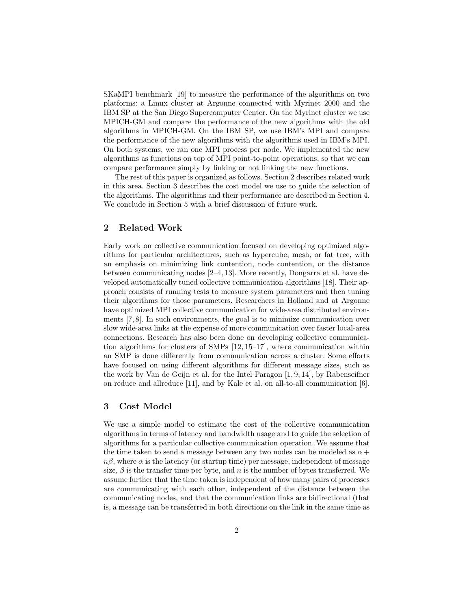SKaMPI benchmark [19] to measure the performance of the algorithms on two platforms: a Linux cluster at Argonne connected with Myrinet 2000 and the IBM SP at the San Diego Supercomputer Center. On the Myrinet cluster we use MPICH-GM and compare the performance of the new algorithms with the old algorithms in MPICH-GM. On the IBM SP, we use IBM's MPI and compare the performance of the new algorithms with the algorithms used in IBM's MPI. On both systems, we ran one MPI process per node. We implemented the new algorithms as functions on top of MPI point-to-point operations, so that we can compare performance simply by linking or not linking the new functions.

The rest of this paper is organized as follows. Section 2 describes related work in this area. Section 3 describes the cost model we use to guide the selection of the algorithms. The algorithms and their performance are described in Section 4. We conclude in Section 5 with a brief discussion of future work.

# 2 Related Work

Early work on collective communication focused on developing optimized algorithms for particular architectures, such as hypercube, mesh, or fat tree, with an emphasis on minimizing link contention, node contention, or the distance between communicating nodes [2–4, 13]. More recently, Dongarra et al. have developed automatically tuned collective communication algorithms [18]. Their approach consists of running tests to measure system parameters and then tuning their algorithms for those parameters. Researchers in Holland and at Argonne have optimized MPI collective communication for wide-area distributed environments [7, 8]. In such environments, the goal is to minimize communication over slow wide-area links at the expense of more communication over faster local-area connections. Research has also been done on developing collective communication algorithms for clusters of SMPs [12, 15–17], where communication within an SMP is done differently from communication across a cluster. Some efforts have focused on using different algorithms for different message sizes, such as the work by Van de Geijn et al. for the Intel Paragon [1, 9, 14], by Rabenseifner on reduce and allreduce [11], and by Kale et al. on all-to-all communication [6].

## 3 Cost Model

We use a simple model to estimate the cost of the collective communication algorithms in terms of latency and bandwidth usage and to guide the selection of algorithms for a particular collective communication operation. We assume that the time taken to send a message between any two nodes can be modeled as  $\alpha +$  $n\beta$ , where  $\alpha$  is the latency (or startup time) per message, independent of message size,  $\beta$  is the transfer time per byte, and n is the number of bytes transferred. We assume further that the time taken is independent of how many pairs of processes are communicating with each other, independent of the distance between the communicating nodes, and that the communication links are bidirectional (that is, a message can be transferred in both directions on the link in the same time as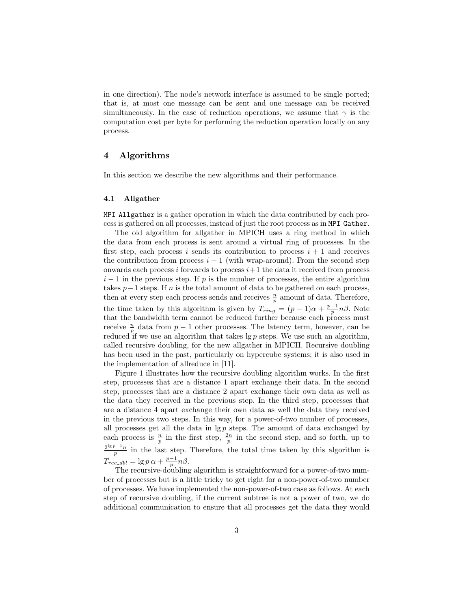in one direction). The node's network interface is assumed to be single ported; that is, at most one message can be sent and one message can be received simultaneously. In the case of reduction operations, we assume that  $\gamma$  is the computation cost per byte for performing the reduction operation locally on any process.

# 4 Algorithms

In this section we describe the new algorithms and their performance.

### 4.1 Allgather

MPI Allgather is a gather operation in which the data contributed by each process is gathered on all processes, instead of just the root process as in MPI Gather.

The old algorithm for allgather in MPICH uses a ring method in which the data from each process is sent around a virtual ring of processes. In the first step, each process i sends its contribution to process  $i + 1$  and receives the contribution from process  $i - 1$  (with wrap-around). From the second step onwards each process  $i$  forwards to process  $i+1$  the data it received from process  $i-1$  in the previous step. If p is the number of processes, the entire algorithm takes  $p-1$  steps. If n is the total amount of data to be gathered on each process, then at every step each process sends and receives  $\frac{n}{p}$  amount of data. Therefore, the time taken by this algorithm is given by  $T_{ring} = (p-1)\alpha + \frac{p-1}{p}n\beta$ . Note that the bandwidth term cannot be reduced further because each process must receive  $\frac{n}{p}$  data from  $p-1$  other processes. The latency term, however, can be reduced if we use an algorithm that takes  $\lg p$  steps. We use such an algorithm, called recursive doubling, for the new allgather in MPICH. Recursive doubling has been used in the past, particularly on hypercube systems; it is also used in the implementation of allreduce in [11].

Figure 1 illustrates how the recursive doubling algorithm works. In the first step, processes that are a distance 1 apart exchange their data. In the second step, processes that are a distance 2 apart exchange their own data as well as the data they received in the previous step. In the third step, processes that are a distance 4 apart exchange their own data as well the data they received in the previous two steps. In this way, for a power-of-two number of processes, all processes get all the data in  $\lg p$  steps. The amount of data exchanged by each process is  $\frac{n}{p}$  in the first step,  $\frac{2n}{p}$  in the second step, and so forth, up to  $\frac{2^{\lg p-1}n}{p}$  in the last step. Therefore, the total time taken by this algorithm is  $T_{rec\_dbl} = \lg p \alpha + \frac{p-1}{p} n \beta.$ 

The recursive-doubling algorithm is straightforward for a power-of-two number of processes but is a little tricky to get right for a non-power-of-two number of processes. We have implemented the non-power-of-two case as follows. At each step of recursive doubling, if the current subtree is not a power of two, we do additional communication to ensure that all processes get the data they would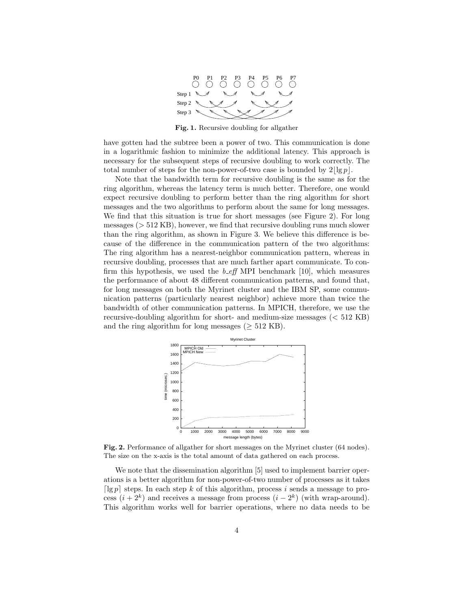

Fig. 1. Recursive doubling for allgather

have gotten had the subtree been a power of two. This communication is done in a logarithmic fashion to minimize the additional latency. This approach is necessary for the subsequent steps of recursive doubling to work correctly. The total number of steps for the non-power-of-two case is bounded by  $2|\lg p|$ .

Note that the bandwidth term for recursive doubling is the same as for the ring algorithm, whereas the latency term is much better. Therefore, one would expect recursive doubling to perform better than the ring algorithm for short messages and the two algorithms to perform about the same for long messages. We find that this situation is true for short messages (see Figure 2). For long messages (> 512 KB), however, we find that recursive doubling runs much slower than the ring algorithm, as shown in Figure 3. We believe this difference is because of the difference in the communication pattern of the two algorithms: The ring algorithm has a nearest-neighbor communication pattern, whereas in recursive doubling, processes that are much farther apart communicate. To confirm this hypothesis, we used the  $b$ -eff MPI benchmark [10], which measures the performance of about 48 different communication patterns, and found that, for long messages on both the Myrinet cluster and the IBM SP, some communication patterns (particularly nearest neighbor) achieve more than twice the bandwidth of other communication patterns. In MPICH, therefore, we use the recursive-doubling algorithm for short- and medium-size messages (< 512 KB) and the ring algorithm for long messages ( $\geq$  512 KB).



Fig. 2. Performance of allgather for short messages on the Myrinet cluster (64 nodes). The size on the x-axis is the total amount of data gathered on each process.

We note that the dissemination algorithm [5] used to implement barrier operations is a better algorithm for non-power-of-two number of processes as it takes [ $\lg p$ ] steps. In each step k of this algorithm, process i sends a message to process  $(i+2^k)$  and receives a message from process  $(i-2^k)$  (with wrap-around). This algorithm works well for barrier operations, where no data needs to be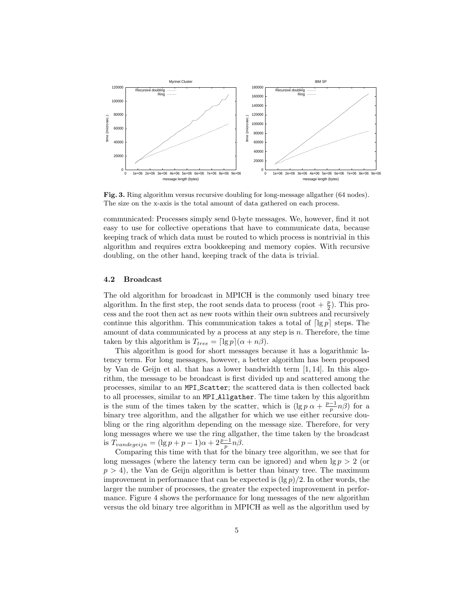

Fig. 3. Ring algorithm versus recursive doubling for long-message allgather (64 nodes). The size on the x-axis is the total amount of data gathered on each process.

communicated: Processes simply send 0-byte messages. We, however, find it not easy to use for collective operations that have to communicate data, because keeping track of which data must be routed to which process is nontrivial in this algorithm and requires extra bookkeeping and memory copies. With recursive doubling, on the other hand, keeping track of the data is trivial.

### 4.2 Broadcast

The old algorithm for broadcast in MPICH is the commonly used binary tree algorithm. In the first step, the root sends data to process (root  $+\frac{p}{2}$ ). This process and the root then act as new roots within their own subtrees and recursively continue this algorithm. This communication takes a total of  $\lceil \lg p \rceil$  steps. The amount of data communicated by a process at any step is  $n$ . Therefore, the time taken by this algorithm is  $T_{tree} = \lceil \lg p \rceil (\alpha + n\beta)$ .

This algorithm is good for short messages because it has a logarithmic latency term. For long messages, however, a better algorithm has been proposed by Van de Geijn et al. that has a lower bandwidth term [1, 14]. In this algorithm, the message to be broadcast is first divided up and scattered among the processes, similar to an MPI Scatter; the scattered data is then collected back to all processes, similar to an MPI Allgather. The time taken by this algorithm is the sum of the times taken by the scatter, which is  $(\lg p \alpha + \frac{p-1}{p}n\beta)$  for a binary tree algorithm, and the allgather for which we use either recursive doubling or the ring algorithm depending on the message size. Therefore, for very long messages where we use the ring allgather, the time taken by the broadcast is  $T_{vandegeijn} = (\lg p + p - 1)\alpha + 2\frac{p-1}{p}n\beta.$ 

Comparing this time with that for the binary tree algorithm, we see that for long messages (where the latency term can be ignored) and when  $\lg p > 2$  (or  $p > 4$ , the Van de Geijn algorithm is better than binary tree. The maximum improvement in performance that can be expected is  $(\lg p)/2$ . In other words, the larger the number of processes, the greater the expected improvement in performance. Figure 4 shows the performance for long messages of the new algorithm versus the old binary tree algorithm in MPICH as well as the algorithm used by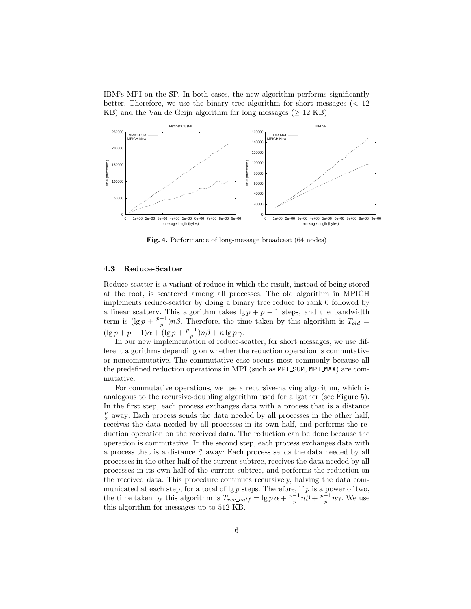IBM's MPI on the SP. In both cases, the new algorithm performs significantly better. Therefore, we use the binary tree algorithm for short messages ( $< 12$ ) KB) and the Van de Geijn algorithm for long messages ( $\geq$  12 KB).



Fig. 4. Performance of long-message broadcast (64 nodes)

#### 4.3 Reduce-Scatter

Reduce-scatter is a variant of reduce in which the result, instead of being stored at the root, is scattered among all processes. The old algorithm in MPICH implements reduce-scatter by doing a binary tree reduce to rank 0 followed by a linear scattery. This algorithm takes  $\lg p + p - 1$  steps, and the bandwidth term is  $(\lg p + \frac{p-1}{p})n\beta$ . Therefore, the time taken by this algorithm is  $T_{old} =$  $(\lg p + p - 1)\alpha + (\lg p + \frac{p-1}{p})n\beta + n \lg p \gamma.$ 

In our new implementation of reduce-scatter, for short messages, we use different algorithms depending on whether the reduction operation is commutative or noncommutative. The commutative case occurs most commonly because all the predefined reduction operations in MPI (such as MPI SUM, MPI MAX) are commutative.

For commutative operations, we use a recursive-halving algorithm, which is analogous to the recursive-doubling algorithm used for allgather (see Figure 5). In the first step, each process exchanges data with a process that is a distance  $\frac{p}{2}$  away: Each process sends the data needed by all processes in the other half, receives the data needed by all processes in its own half, and performs the reduction operation on the received data. The reduction can be done because the operation is commutative. In the second step, each process exchanges data with a process that is a distance  $\frac{p}{4}$  away: Each process sends the data needed by all processes in the other half of the current subtree, receives the data needed by all processes in its own half of the current subtree, and performs the reduction on the received data. This procedure continues recursively, halving the data communicated at each step, for a total of  $\lg p$  steps. Therefore, if p is a power of two, the time taken by this algorithm is  $T_{rec\_half} = \lg p \alpha + \frac{p-1}{p} n \beta + \frac{p-1}{p} n \gamma$ . We use this algorithm for messages up to 512 KB.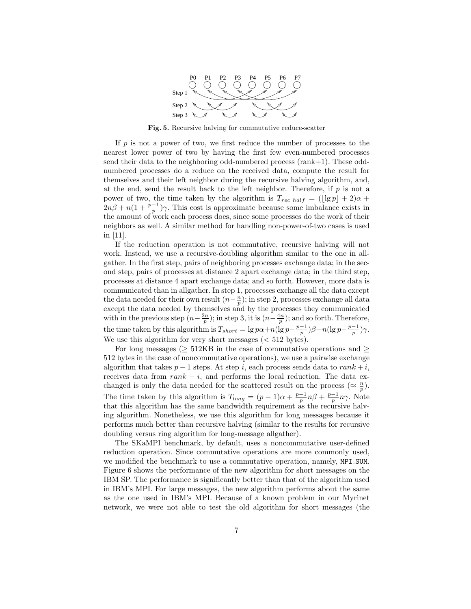

Fig. 5. Recursive halving for commutative reduce-scatter

If  $p$  is not a power of two, we first reduce the number of processes to the nearest lower power of two by having the first few even-numbered processes send their data to the neighboring odd-numbered process (rank+1). These oddnumbered processes do a reduce on the received data, compute the result for themselves and their left neighbor during the recursive halving algorithm, and, at the end, send the result back to the left neighbor. Therefore, if  $p$  is not a power of two, the time taken by the algorithm is  $T_{rec\_half} = (\lfloor \lg p \rfloor + 2)\alpha +$  $2n\beta + n(1 + \frac{p-1}{p})\gamma$ . This cost is approximate because some imbalance exists in the amount of work each process does, since some processes do the work of their neighbors as well. A similar method for handling non-power-of-two cases is used in [11].

If the reduction operation is not commutative, recursive halving will not work. Instead, we use a recursive-doubling algorithm similar to the one in allgather. In the first step, pairs of neighboring processes exchange data; in the second step, pairs of processes at distance 2 apart exchange data; in the third step, processes at distance 4 apart exchange data; and so forth. However, more data is communicated than in allgather. In step 1, processes exchange all the data except the data needed for their own result  $(n-\frac{n}{p})$ ; in step 2, processes exchange all data except the data needed by themselves and by the processes they communicated with in the previous step  $(n-\frac{2n}{p})$ ; in step 3, it is  $(n-\frac{4n}{p})$ ; and so forth. Therefore, the time taken by this algorithm is  $T_{short} = \lg p\alpha + n(\lg p - \frac{p-1}{p})\beta + n(\lg p - \frac{p-1}{p})\gamma$ . We use this algorithm for very short messages  $( $512$  bytes).$ 

For long messages ( $> 512KB$  in the case of commutative operations and  $>$ 512 bytes in the case of noncommutative operations), we use a pairwise exchange algorithm that takes  $p-1$  steps. At step i, each process sends data to  $rank + i$ , receives data from  $rank - i$ , and performs the local reduction. The data exchanged is only the data needed for the scattered result on the process  $(\approx \frac{n}{p})$ . The time taken by this algorithm is  $T_{long} = (p-1)\alpha + \frac{p-1}{p}n\beta + \frac{p-1}{p}n\gamma$ . Note that this algorithm has the same bandwidth requirement as the recursive halving algorithm. Nonetheless, we use this algorithm for long messages because it performs much better than recursive halving (similar to the results for recursive doubling versus ring algorithm for long-message allgather).

The SKaMPI benchmark, by default, uses a noncommutative user-defined reduction operation. Since commutative operations are more commonly used, we modified the benchmark to use a commutative operation, namely, MPI SUM. Figure 6 shows the performance of the new algorithm for short messages on the IBM SP. The performance is significantly better than that of the algorithm used in IBM's MPI. For large messages, the new algorithm performs about the same as the one used in IBM's MPI. Because of a known problem in our Myrinet network, we were not able to test the old algorithm for short messages (the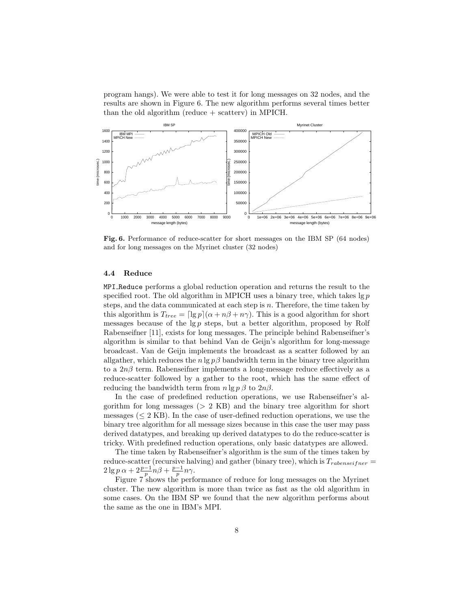program hangs). We were able to test it for long messages on 32 nodes, and the results are shown in Figure 6. The new algorithm performs several times better than the old algorithm (reduce + scatterv) in MPICH.



Fig. 6. Performance of reduce-scatter for short messages on the IBM SP (64 nodes) and for long messages on the Myrinet cluster (32 nodes)

#### 4.4 Reduce

MPI Reduce performs a global reduction operation and returns the result to the specified root. The old algorithm in MPICH uses a binary tree, which takes  $\lg p$ steps, and the data communicated at each step is  $n$ . Therefore, the time taken by this algorithm is  $T_{tree} = \frac{\log p}{\alpha + n\beta + n\gamma}$ . This is a good algorithm for short messages because of the  $\lg p$  steps, but a better algorithm, proposed by Rolf Rabenseifner [11], exists for long messages. The principle behind Rabenseifner's algorithm is similar to that behind Van de Geijn's algorithm for long-message broadcast. Van de Geijn implements the broadcast as a scatter followed by an allgather, which reduces the  $n \lg p\beta$  bandwidth term in the binary tree algorithm to a  $2n\beta$  term. Rabenseifner implements a long-message reduce effectively as a reduce-scatter followed by a gather to the root, which has the same effect of reducing the bandwidth term from  $n \lg p \beta$  to  $2n\beta$ .

In the case of predefined reduction operations, we use Rabenseifner's algorithm for long messages ( $> 2$  KB) and the binary tree algorithm for short messages ( $\leq 2$  KB). In the case of user-defined reduction operations, we use the binary tree algorithm for all message sizes because in this case the user may pass derived datatypes, and breaking up derived datatypes to do the reduce-scatter is tricky. With predefined reduction operations, only basic datatypes are allowed.

The time taken by Rabenseifner's algorithm is the sum of the times taken by reduce-scatter (recursive halving) and gather (binary tree), which is  $T_{rabenseifner}$  $2 \lg p \alpha + 2 \frac{p-1}{p} n \beta + \frac{p-1}{p} n \gamma.$ 

Figure 7 shows the performance of reduce for long messages on the Myrinet cluster. The new algorithm is more than twice as fast as the old algorithm in some cases. On the IBM SP we found that the new algorithm performs about the same as the one in IBM's MPI.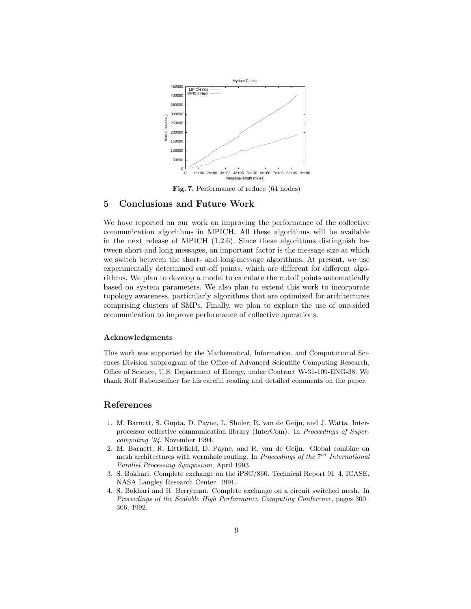

Fig. 7. Performance of reduce (64 nodes)

# 5 Conclusions and Future Work

We have reported on our work on improving the performance of the collective communication algorithms in MPICH. All these algorithms will be available in the next release of MPICH (1.2.6). Since these algorithms distinguish between short and long messages, an important factor is the message size at which we switch between the short- and long-message algorithms. At present, we use experimentally determined cut-off points, which are different for different algorithms. We plan to develop a model to calculate the cutoff points automatically based on system parameters. We also plan to extend this work to incorporate topology awareness, particularly algorithms that are optimized for architectures comprising clusters of SMPs. Finally, we plan to explore the use of one-sided communication to improve performance of collective operations.

#### Acknowledgments

This work was supported by the Mathematical, Information, and Computational Sciences Division subprogram of the Office of Advanced Scientific Computing Research, Office of Science, U.S. Department of Energy, under Contract W-31-109-ENG-38. We thank Rolf Rabenseifner for his careful reading and detailed comments on the paper.

# References

- 1. M. Barnett, S. Gupta, D. Payne, L. Shuler, R. van de Geijn, and J. Watts. Interprocessor collective communication library (InterCom). In Proceedings of Supercomputing '94, November 1994.
- 2. M. Barnett, R. Littlefield, D. Payne, and R. van de Geijn. Global combine on mesh architectures with wormhole routing. In Proceedings of the  $7<sup>th</sup>$  International Parallel Processing Symposium, April 1993.
- 3. S. Bokhari. Complete exchange on the iPSC/860. Technical Report 91–4, ICASE, NASA Langley Research Center, 1991.
- 4. S. Bokhari and H. Berryman. Complete exchange on a circuit switched mesh. In Proceedings of the Scalable High Performance Computing Conference, pages 300– 306, 1992.